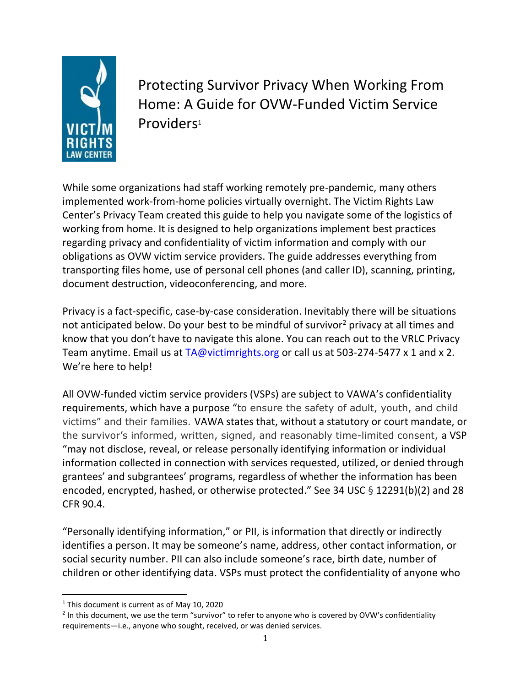

 Protecting Survivor Privacy When Working From Home: A Guide for OVW-Funded Victim Service Providers<sup>1</sup>

While some organizations had staff working remotely pre-pandemic, many others implemented work-from-home policies virtually overnight. The Victim Rights Law Center's Privacy Team created this guide to help you navigate some of the logistics of working from home. It is designed to help organizations implement best practices regarding privacy and confidentiality of victim information and comply with our obligations as OVW victim service providers. The guide addresses everything from transporting files home, use of personal cell phones (and caller ID), scanning, printing, document destruction, videoconferencing, and more.

Privacy is a fact-specific, case-by-case consideration. Inevitably there will be situations not anticipated below. Do your best to be mindful of survivor<sup>2</sup> privacy at all times and know that you don't have to navigate this alone. You can reach out to the VRLC Privacy Team anytime. Email us at  $TA@victim rights.org$  or call us at 503-274-5477 x 1 and x 2. We're here to help!

All OVW-funded victim service providers (VSPs) are subject to VAWA's confidentiality requirements, which have a purpose "to ensure the safety of adult, youth, and child victims" and their families. VAWA states that, without a statutory or court mandate, or the survivor's informed, written, signed, and reasonably time-limited consent, a VSP "may not disclose, reveal, or release personally identifying information or individual information collected in connection with services requested, utilized, or denied through grantees' and subgrantees' programs, regardless of whether the information has been encoded, encrypted, hashed, or otherwise protected." See 34 USC § 12291(b)(2) and 28 CFR 90.4.

"Personally identifying information," or PII, is information that directly or indirectly identifies a person. It may be someone's name, address, other contact information, or social security number. PII can also include someone's race, birth date, number of children or other identifying data. VSPs must protect the confidentiality of anyone who

<sup>&</sup>lt;sup>1</sup> This document is current as of May 10, 2020

 $2$  In this document, we use the term "survivor" to refer to anyone who is covered by OVW's confidentiality requirements—i.e., anyone who sought, received, or was denied services.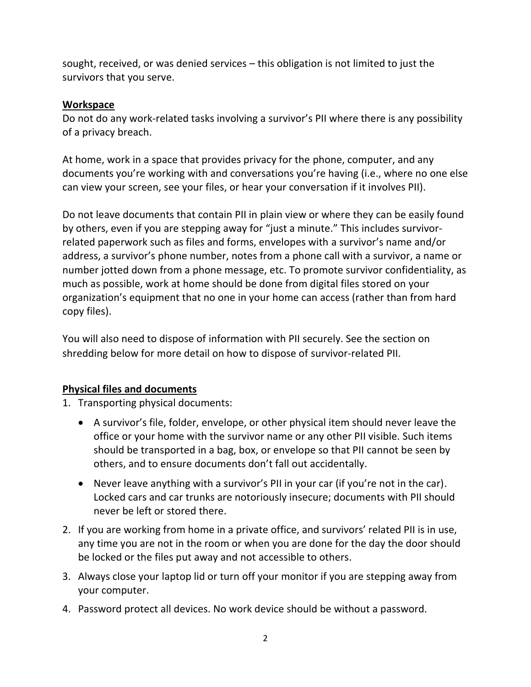sought, received, or was denied services – this obligation is not limited to just the survivors that you serve.

#### **Workspace**

Do not do any work-related tasks involving a survivor's PII where there is any possibility of a privacy breach.

At home, work in a space that provides privacy for the phone, computer, and any documents you're working with and conversations you're having (i.e., where no one else can view your screen, see your files, or hear your conversation if it involves PII).

Do not leave documents that contain PII in plain view or where they can be easily found by others, even if you are stepping away for "just a minute." This includes survivorrelated paperwork such as files and forms, envelopes with a survivor's name and/or address, a survivor's phone number, notes from a phone call with a survivor, a name or number jotted down from a phone message, etc. To promote survivor confidentiality, as much as possible, work at home should be done from digital files stored on your organization's equipment that no one in your home can access (rather than from hard copy files).

You will also need to dispose of information with PII securely. See the section on shredding below for more detail on how to dispose of survivor-related PII.

#### **Physical files and documents**

1. Transporting physical documents:

- A survivor's file, folder, envelope, or other physical item should never leave the office or your home with the survivor name or any other PII visible. Such items should be transported in a bag, box, or envelope so that PII cannot be seen by others, and to ensure documents don't fall out accidentally.
- Never leave anything with a survivor's PII in your car (if you're not in the car). Locked cars and car trunks are notoriously insecure; documents with PII should never be left or stored there.
- 2. If you are working from home in a private office, and survivors' related PII is in use, any time you are not in the room or when you are done for the day the door should be locked or the files put away and not accessible to others.
- 3. Always close your laptop lid or turn off your monitor if you are stepping away from your computer.
- 4. Password protect all devices. No work device should be without a password.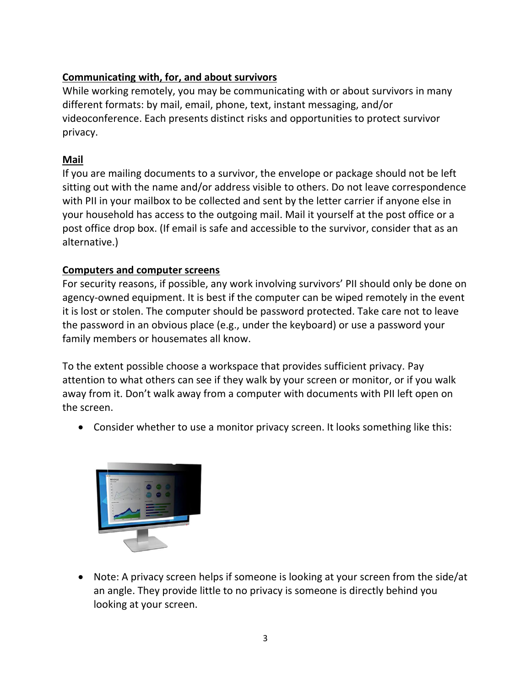# **Communicating with, for, and about survivors**

While working remotely, you may be communicating with or about survivors in many different formats: by mail, email, phone, text, instant messaging, and/or videoconference. Each presents distinct risks and opportunities to protect survivor privacy.

## **Mail**

If you are mailing documents to a survivor, the envelope or package should not be left sitting out with the name and/or address visible to others. Do not leave correspondence with PII in your mailbox to be collected and sent by the letter carrier if anyone else in your household has access to the outgoing mail. Mail it yourself at the post office or a post office drop box. (If email is safe and accessible to the survivor, consider that as an alternative.)

# **Computers and computer screens**

For security reasons, if possible, any work involving survivors' PII should only be done on agency-owned equipment. It is best if the computer can be wiped remotely in the event it is lost or stolen. The computer should be password protected. Take care not to leave the password in an obvious place (e.g., under the keyboard) or use a password your family members or housemates all know.

To the extent possible choose a workspace that provides sufficient privacy. Pay attention to what others can see if they walk by your screen or monitor, or if you walk away from it. Don't walk away from a computer with documents with PII left open on the screen.

• Consider whether to use a monitor privacy screen. It looks something like this:



• Note: A privacy screen helps if someone is looking at your screen from the side/at an angle. They provide little to no privacy is someone is directly behind you looking at your screen.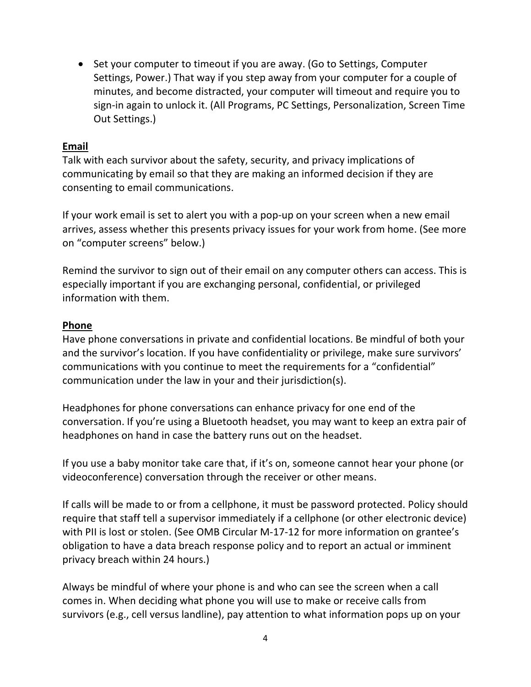• Set your computer to timeout if you are away. (Go to Settings, Computer Settings, Power.) That way if you step away from your computer for a couple of minutes, and become distracted, your computer will timeout and require you to sign-in again to unlock it. (All Programs, PC Settings, Personalization, Screen Time Out Settings.)

#### **Email**

Talk with each survivor about the safety, security, and privacy implications of communicating by email so that they are making an informed decision if they are consenting to email communications.

If your work email is set to alert you with a pop-up on your screen when a new email arrives, assess whether this presents privacy issues for your work from home. (See more on "computer screens" below.)

Remind the survivor to sign out of their email on any computer others can access. This is especially important if you are exchanging personal, confidential, or privileged information with them.

#### **Phone**

Have phone conversations in private and confidential locations. Be mindful of both your and the survivor's location. If you have confidentiality or privilege, make sure survivors' communications with you continue to meet the requirements for a "confidential" communication under the law in your and their jurisdiction(s).

Headphones for phone conversations can enhance privacy for one end of the conversation. If you're using a Bluetooth headset, you may want to keep an extra pair of headphones on hand in case the battery runs out on the headset.

If you use a baby monitor take care that, if it's on, someone cannot hear your phone (or videoconference) conversation through the receiver or other means.

If calls will be made to or from a cellphone, it must be password protected. Policy should require that staff tell a supervisor immediately if a cellphone (or other electronic device) with PII is lost or stolen. (See OMB Circular M-17-12 for more information on grantee's obligation to have a data breach response policy and to report an actual or imminent privacy breach within 24 hours.)

Always be mindful of where your phone is and who can see the screen when a call comes in. When deciding what phone you will use to make or receive calls from survivors (e.g., cell versus landline), pay attention to what information pops up on your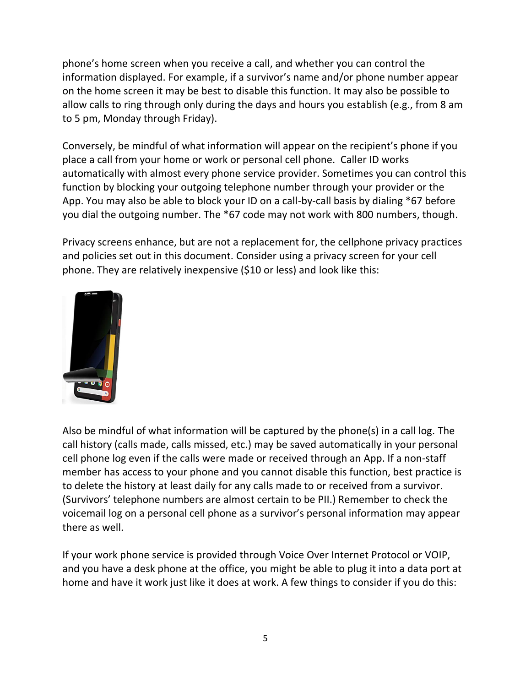phone's home screen when you receive a call, and whether you can control the information displayed. For example, if a survivor's name and/or phone number appear on the home screen it may be best to disable this function. It may also be possible to allow calls to ring through only during the days and hours you establish (e.g., from 8 am to 5 pm, Monday through Friday).

Conversely, be mindful of what information will appear on the recipient's phone if you place a call from your home or work or personal cell phone. Caller ID works automatically with almost every phone service provider. Sometimes you can control this function by blocking your outgoing telephone number through your provider or the App. You may also be able to block your ID on a call-by-call basis by dialing \*67 before you dial the outgoing number. The \*67 code may not work with 800 numbers, though.

Privacy screens enhance, but are not a replacement for, the cellphone privacy practices and policies set out in this document. Consider using a privacy screen for your cell phone. They are relatively inexpensive (\$10 or less) and look like this:



Also be mindful of what information will be captured by the phone(s) in a call log. The call history (calls made, calls missed, etc.) may be saved automatically in your personal cell phone log even if the calls were made or received through an App. If a non-staff member has access to your phone and you cannot disable this function, best practice is to delete the history at least daily for any calls made to or received from a survivor. (Survivors' telephone numbers are almost certain to be PII.) Remember to check the voicemail log on a personal cell phone as a survivor's personal information may appear there as well.

If your work phone service is provided through Voice Over Internet Protocol or VOIP, and you have a desk phone at the office, you might be able to plug it into a data port at home and have it work just like it does at work. A few things to consider if you do this: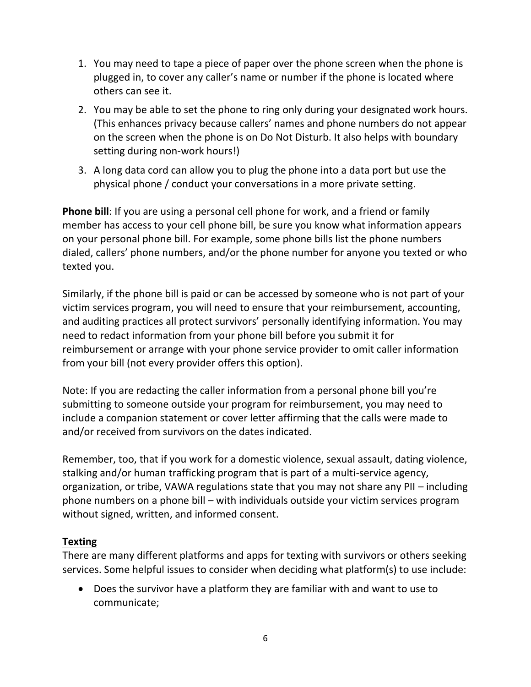- 1. You may need to tape a piece of paper over the phone screen when the phone is plugged in, to cover any caller's name or number if the phone is located where others can see it.
- 2. You may be able to set the phone to ring only during your designated work hours. (This enhances privacy because callers' names and phone numbers do not appear on the screen when the phone is on Do Not Disturb. It also helps with boundary setting during non-work hours!)
- 3. A long data cord can allow you to plug the phone into a data port but use the physical phone / conduct your conversations in a more private setting.

**Phone bill**: If you are using a personal cell phone for work, and a friend or family member has access to your cell phone bill, be sure you know what information appears on your personal phone bill. For example, some phone bills list the phone numbers dialed, callers' phone numbers, and/or the phone number for anyone you texted or who texted you.

Similarly, if the phone bill is paid or can be accessed by someone who is not part of your victim services program, you will need to ensure that your reimbursement, accounting, and auditing practices all protect survivors' personally identifying information. You may need to redact information from your phone bill before you submit it for reimbursement or arrange with your phone service provider to omit caller information from your bill (not every provider offers this option).

Note: If you are redacting the caller information from a personal phone bill you're submitting to someone outside your program for reimbursement, you may need to include a companion statement or cover letter affirming that the calls were made to and/or received from survivors on the dates indicated.

Remember, too, that if you work for a domestic violence, sexual assault, dating violence, stalking and/or human trafficking program that is part of a multi-service agency, organization, or tribe, VAWA regulations state that you may not share any PII – including phone numbers on a phone bill – with individuals outside your victim services program without signed, written, and informed consent.

## **Texting**

There are many different platforms and apps for texting with survivors or others seeking services. Some helpful issues to consider when deciding what platform(s) to use include:

• Does the survivor have a platform they are familiar with and want to use to communicate;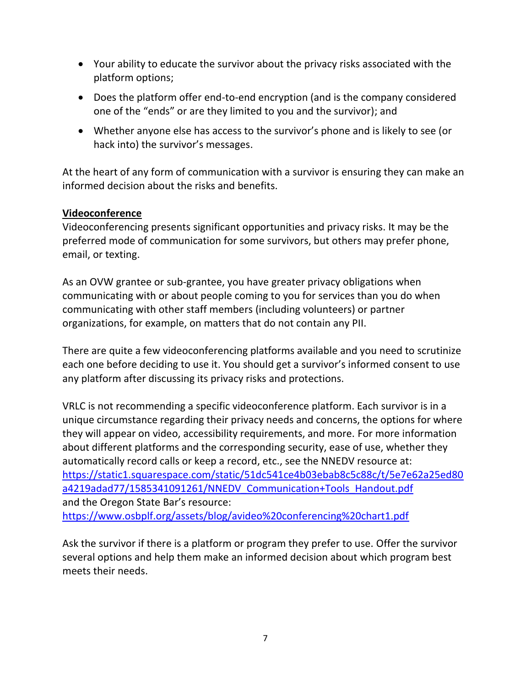- Your ability to educate the survivor about the privacy risks associated with the platform options;
- Does the platform offer end-to-end encryption (and is the company considered one of the "ends" or are they limited to you and the survivor); and
- Whether anyone else has access to the survivor's phone and is likely to see (or hack into) the survivor's messages.

At the heart of any form of communication with a survivor is ensuring they can make an informed decision about the risks and benefits.

#### **Videoconference**

Videoconferencing presents significant opportunities and privacy risks. It may be the preferred mode of communication for some survivors, but others may prefer phone, email, or texting.

As an OVW grantee or sub-grantee, you have greater privacy obligations when communicating with or about people coming to you for services than you do when communicating with other staff members (including volunteers) or partner organizations, for example, on matters that do not contain any PII.

There are quite a few videoconferencing platforms available and you need to scrutinize each one before deciding to use it. You should get a survivor's informed consent to use any platform after discussing its privacy risks and protections.

VRLC is not recommending a specific videoconference platform. Each survivor is in a unique circumstance regarding their privacy needs and concerns, the options for where they will appear on video, accessibility requirements, and more. For more information about different platforms and the corresponding security, ease of use, whether they automatically record calls or keep a record, etc., see the NNEDV resource at: [https://static1.squarespace.com/static/51dc541ce4b03ebab8c5c88c/t/5e7e62a25ed80](https://static1.squarespace.com/static/51dc541ce4b03ebab8c5c88c/t/5e7e62a25ed80a4219adad77/1585341091261/NNEDV_Communication+Tools_Handout.pdf) a4219adad77/1585341091261/NNEDV Communication+Tools Handout.pdf and the Oregon State Bar's resource: <https://www.osbplf.org/assets/blog/avideo%20conferencing%20chart1.pdf>

Ask the survivor if there is a platform or program they prefer to use. Offer the survivor several options and help them make an informed decision about which program best meets their needs.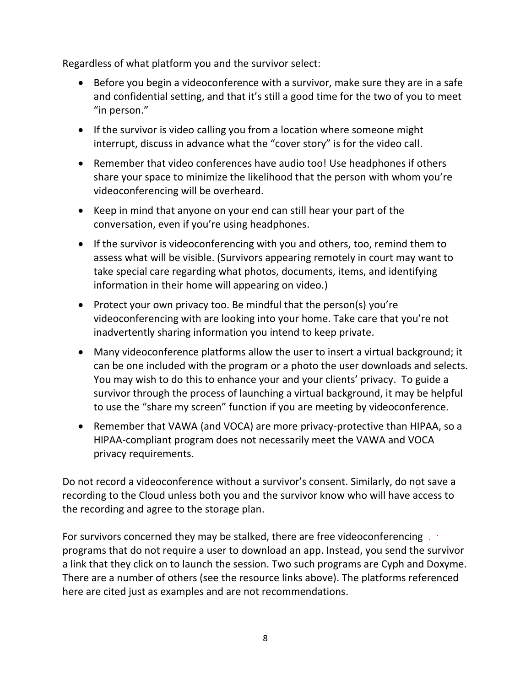Regardless of what platform you and the survivor select:

- Before you begin a videoconference with a survivor, make sure they are in a safe and confidential setting, and that it's still a good time for the two of you to meet "in person."
- If the survivor is video calling you from a location where someone might interrupt, discuss in advance what the "cover story" is for the video call.
- Remember that video conferences have audio too! Use headphones if others share your space to minimize the likelihood that the person with whom you're videoconferencing will be overheard.
- Keep in mind that anyone on your end can still hear your part of the conversation, even if you're using headphones.
- If the survivor is videoconferencing with you and others, too, remind them to assess what will be visible. (Survivors appearing remotely in court may want to take special care regarding what photos, documents, items, and identifying information in their home will appearing on video.)
- Protect your own privacy too. Be mindful that the person(s) you're videoconferencing with are looking into your home. Take care that you're not inadvertently sharing information you intend to keep private.
- Many videoconference platforms allow the user to insert a virtual background; it can be one included with the program or a photo the user downloads and selects. You may wish to do this to enhance your and your clients' privacy. To guide a survivor through the process of launching a virtual background, it may be helpful to use the "share my screen" function if you are meeting by videoconference.
- Remember that VAWA (and VOCA) are more privacy-protective than HIPAA, so a HIPAA-compliant program does not necessarily meet the VAWA and VOCA privacy requirements.

Do not record a videoconference without a survivor's consent. Similarly, do not save a recording to the Cloud unless both you and the survivor know who will have access to the recording and agree to the storage plan.

For survivors concerned they may be stalked, there are free videoconferencing . . programs that do not require a user to download an app. Instead, you send the survivor a link that they click on to launch the session. Two such programs are Cyph and Doxyme. There are a number of others (see the resource links above). The platforms referenced here are cited just as examples and are not recommendations.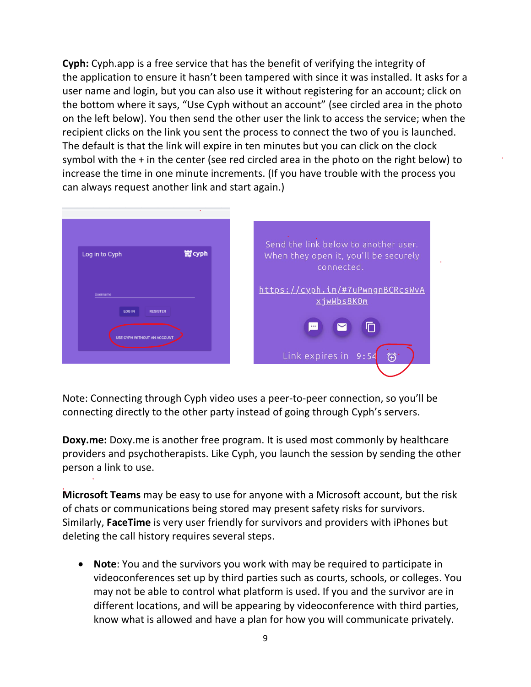**Cyph:** Cyph.app is a free service that has the benefit of verifying the integrity of the application to ensure it hasn't been tampered with since it was installed. It asks for a user name and login, but you can also use it without registering for an account; click on the bottom where it says, "Use Cyph without an account" (see circled area in the photo on the left below). You then send the other user the link to access the service; when the recipient clicks on the link you sent the process to connect the two of you is launched. The default is that the link will expire in ten minutes but you can click on the clock symbol with the  $+$  in the center (see red circled area in the photo on the right below) to increase the time in one minute increments. (If you have trouble with the process you can always request another link and start again.)



Note: Connecting through Cyph video uses a peer-to-peer connection, so you'll be connecting directly to the other party instead of going through Cyph's servers.

**Doxy.me:** Doxy.me is another free program. It is used most commonly by healthcare providers and psychotherapists. Like Cyph, you launch the session by sending the other person a link to use.

**Microsoft Teams** may be easy to use for anyone with a Microsoft account, but the risk of chats or communications being stored may present safety risks for survivors. Similarly, **FaceTime** is very user friendly for survivors and providers with iPhones but deleting the call history requires several steps.

• **Note**: You and the survivors you work with may be required to participate in videoconferences set up by third parties such as courts, schools, or colleges. You may not be able to control what platform is used. If you and the survivor are in different locations, and will be appearing by videoconference with third parties, know what is allowed and have a plan for how you will communicate privately.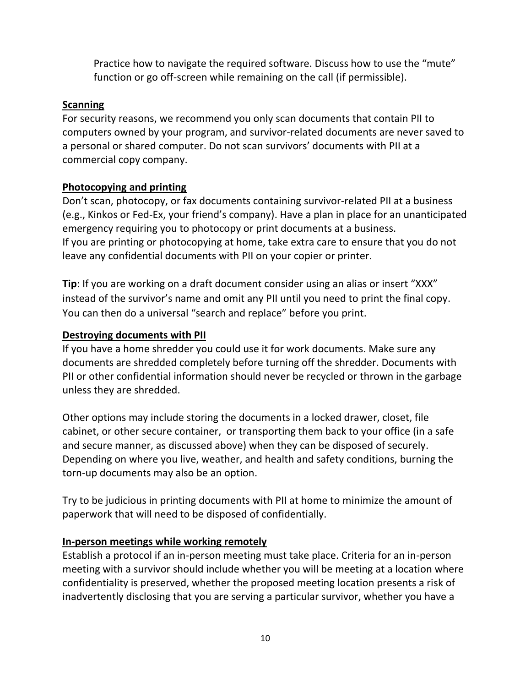Practice how to navigate the required software. Discuss how to use the "mute" function or go off-screen while remaining on the call (if permissible).

### **Scanning**

For security reasons, we recommend you only scan documents that contain PII to computers owned by your program, and survivor-related documents are never saved to a personal or shared computer. Do not scan survivors' documents with PII at a commercial copy company.

### **Photocopying and printing**

Don't scan, photocopy, or fax documents containing survivor-related PII at a business (e.g., Kinkos or Fed-Ex, your friend's company). Have a plan in place for an unanticipated emergency requiring you to photocopy or print documents at a business. If you are printing or photocopying at home, take extra care to ensure that you do not leave any confidential documents with PII on your copier or printer.

**Tip**: If you are working on a draft document consider using an alias or insert "XXX" instead of the survivor's name and omit any PII until you need to print the final copy. You can then do a universal "search and replace" before you print.

### **Destroying documents with PII**

If you have a home shredder you could use it for work documents. Make sure any documents are shredded completely before turning off the shredder. Documents with PII or other confidential information should never be recycled or thrown in the garbage unless they are shredded.

Other options may include storing the documents in a locked drawer, closet, file cabinet, or other secure container, or transporting them back to your office (in a safe and secure manner, as discussed above) when they can be disposed of securely. Depending on where you live, weather, and health and safety conditions, burning the torn-up documents may also be an option.

Try to be judicious in printing documents with PII at home to minimize the amount of paperwork that will need to be disposed of confidentially.

## **In-person meetings while working remotely**

Establish a protocol if an in-person meeting must take place. Criteria for an in-person meeting with a survivor should include whether you will be meeting at a location where confidentiality is preserved, whether the proposed meeting location presents a risk of inadvertently disclosing that you are serving a particular survivor, whether you have a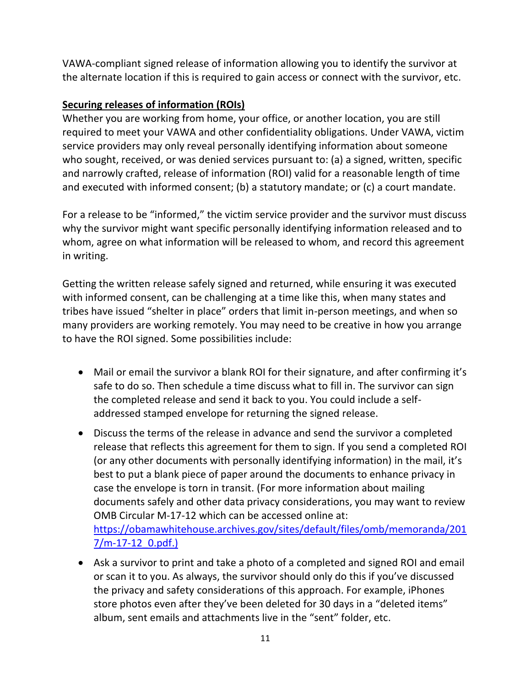VAWA-compliant signed release of information allowing you to identify the survivor at the alternate location if this is required to gain access or connect with the survivor, etc.

## **Securing releases of information (ROIs)**

Whether you are working from home, your office, or another location, you are still required to meet your VAWA and other confidentiality obligations. Under VAWA, victim service providers may only reveal personally identifying information about someone who sought, received, or was denied services pursuant to: (a) a signed, written, specific and narrowly crafted, release of information (ROI) valid for a reasonable length of time and executed with informed consent; (b) a statutory mandate; or (c) a court mandate.

For a release to be "informed," the victim service provider and the survivor must discuss why the survivor might want specific personally identifying information released and to whom, agree on what information will be released to whom, and record this agreement in writing.

Getting the written release safely signed and returned, while ensuring it was executed with informed consent, can be challenging at a time like this, when many states and tribes have issued "shelter in place" orders that limit in-person meetings, and when so many providers are working remotely. You may need to be creative in how you arrange to have the ROI signed. Some possibilities include:

- Mail or email the survivor a blank ROI for their signature, and after confirming it's safe to do so. Then schedule a time discuss what to fill in. The survivor can sign the completed release and send it back to you. You could include a selfaddressed stamped envelope for returning the signed release.
- Discuss the terms of the release in advance and send the survivor a completed release that reflects this agreement for them to sign. If you send a completed ROI (or any other documents with personally identifying information) in the mail, it's best to put a blank piece of paper around the documents to enhance privacy in case the envelope is torn in transit. (For more information about mailing documents safely and other data privacy considerations, you may want to review OMB Circular M-17-12 which can be accessed online at: [https://obamawhitehouse.archives.gov/sites/default/files/omb/memoranda/201](https://obamawhitehouse.archives.gov/sites/default/files/omb/memoranda/2017/m-17-12_0.pdf) [7/m-17-12\\_0.pdf.](https://obamawhitehouse.archives.gov/sites/default/files/omb/memoranda/2017/m-17-12_0.pdf))
- Ask a survivor to print and take a photo of a completed and signed ROI and email or scan it to you. As always, the survivor should only do this if you've discussed the privacy and safety considerations of this approach. For example, iPhones store photos even after they've been deleted for 30 days in a "deleted items" album, sent emails and attachments live in the "sent" folder, etc.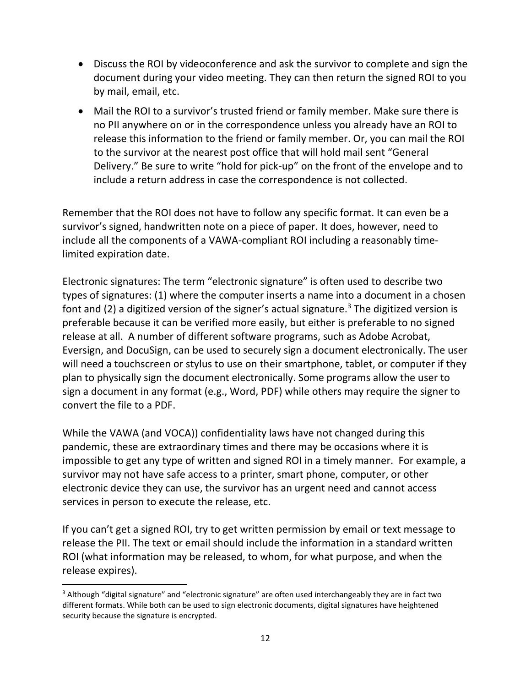- Discuss the ROI by videoconference and ask the survivor to complete and sign the document during your video meeting. They can then return the signed ROI to you by mail, email, etc.
- Mail the ROI to a survivor's trusted friend or family member. Make sure there is no PII anywhere on or in the correspondence unless you already have an ROI to release this information to the friend or family member. Or, you can mail the ROI to the survivor at the nearest post office that will hold mail sent "General Delivery." Be sure to write "hold for pick-up" on the front of the envelope and to include a return address in case the correspondence is not collected.

Remember that the ROI does not have to follow any specific format. It can even be a survivor's signed, handwritten note on a piece of paper. It does, however, need to include all the components of a VAWA-compliant ROI including a reasonably timelimited expiration date.

Electronic signatures: The term "electronic signature" is often used to describe two types of signatures: (1) where the computer inserts a name into a document in a chosen font and (2) a digitized version of the signer's actual signature.<sup>3</sup> The digitized version is preferable because it can be verified more easily, but either is preferable to no signed release at all. A number of different software programs, such as Adobe Acrobat, Eversign, and DocuSign, can be used to securely sign a document electronically. The user will need a touchscreen or stylus to use on their smartphone, tablet, or computer if they plan to physically sign the document electronically. Some programs allow the user to sign a document in any format (e.g., Word, PDF) while others may require the signer to convert the file to a PDF.

While the VAWA (and VOCA)) confidentiality laws have not changed during this pandemic, these are extraordinary times and there may be occasions where it is impossible to get any type of written and signed ROI in a timely manner. For example, a survivor may not have safe access to a printer, smart phone, computer, or other electronic device they can use, the survivor has an urgent need and cannot access services in person to execute the release, etc.

If you can't get a signed ROI, try to get written permission by email or text message to release the PII. The text or email should include the information in a standard written ROI (what information may be released, to whom, for what purpose, and when the release expires).

<sup>&</sup>lt;sup>3</sup> Although "digital signature" and "electronic signature" are often used interchangeably they are in fact two different formats. While both can be used to sign electronic documents, digital signatures have heightened security because the signature is encrypted.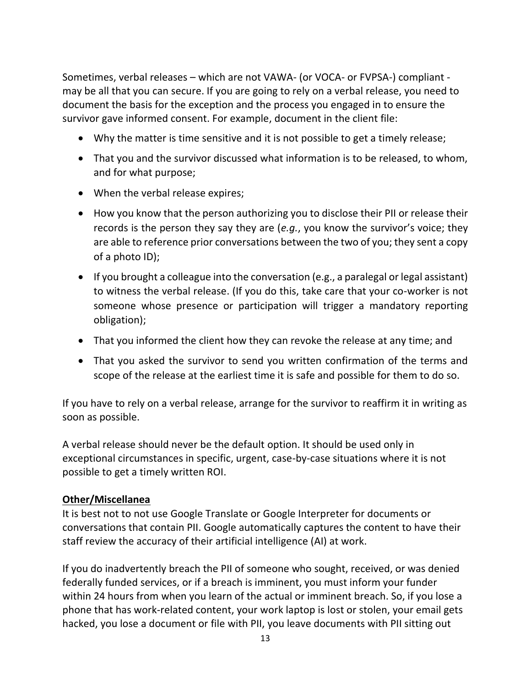Sometimes, verbal releases – which are not VAWA- (or VOCA- or FVPSA-) compliant may be all that you can secure. If you are going to rely on a verbal release, you need to document the basis for the exception and the process you engaged in to ensure the survivor gave informed consent. For example, document in the client file:

- Why the matter is time sensitive and it is not possible to get a timely release;
- That you and the survivor discussed what information is to be released, to whom, and for what purpose;
- When the verbal release expires;
- How you know that the person authorizing you to disclose their PII or release their records is the person they say they are (*e.g.*, you know the survivor's voice; they are able to reference prior conversations between the two of you; they sent a copy of a photo ID);
- If you brought a colleague into the conversation (e.g., a paralegal or legal assistant) to witness the verbal release. (If you do this, take care that your co-worker is not someone whose presence or participation will trigger a mandatory reporting obligation);
- That you informed the client how they can revoke the release at any time; and
- That you asked the survivor to send you written confirmation of the terms and scope of the release at the earliest time it is safe and possible for them to do so.

If you have to rely on a verbal release, arrange for the survivor to reaffirm it in writing as soon as possible.

A verbal release should never be the default option. It should be used only in exceptional circumstances in specific, urgent, case-by-case situations where it is not possible to get a timely written ROI.

#### **Other/Miscellanea**

It is best not to not use Google Translate or Google Interpreter for documents or conversations that contain PII. Google automatically captures the content to have their staff review the accuracy of their artificial intelligence (AI) at work.

If you do inadvertently breach the PII of someone who sought, received, or was denied federally funded services, or if a breach is imminent, you must inform your funder within 24 hours from when you learn of the actual or imminent breach. So, if you lose a phone that has work-related content, your work laptop is lost or stolen, your email gets hacked, you lose a document or file with PII, you leave documents with PII sitting out